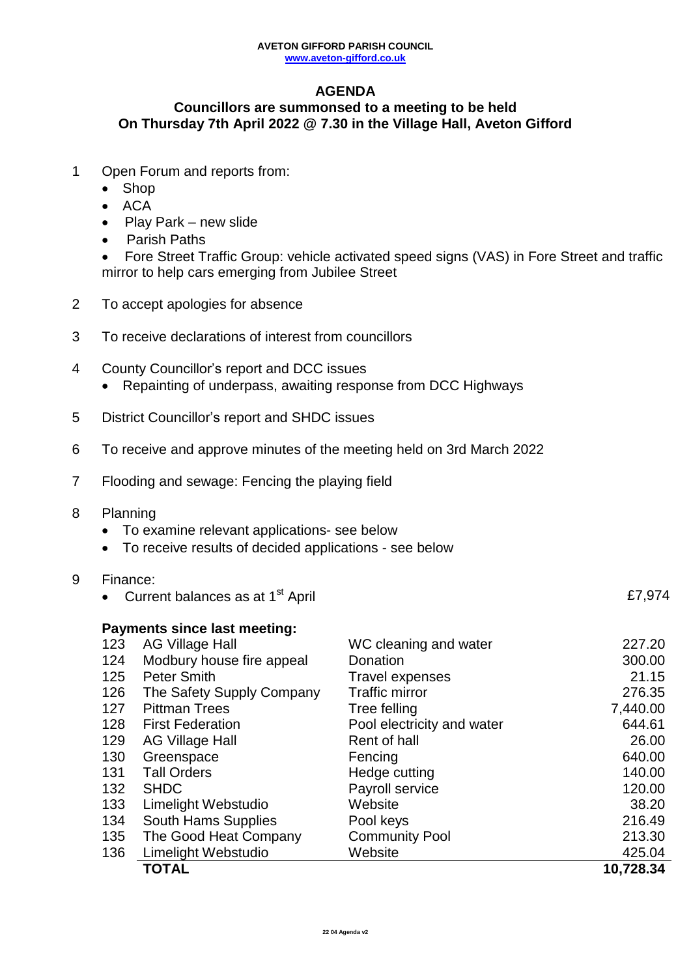## **AGENDA**

## **Councillors are summonsed to a meeting to be held On Thursday 7th April 2022 @ 7.30 in the Village Hall, Aveton Gifford**

- 1 Open Forum and reports from:
	- Shop
	- $\bullet$  ACA
	- $\bullet$  Play Park new slide
	- Parish Paths
	- Fore Street Traffic Group: vehicle activated speed signs (VAS) in Fore Street and traffic mirror to help cars emerging from Jubilee Street
- 2 To accept apologies for absence
- 3 To receive declarations of interest from councillors
- 4 County Councillor's report and DCC issues
	- Repainting of underpass, awaiting response from DCC Highways
- 5 District Councillor's report and SHDC issues
- 6 To receive and approve minutes of the meeting held on 3rd March 2022
- 7 Flooding and sewage: Fencing the playing field
- 8 Planning
	- To examine relevant applications- see below
	- To receive results of decided applications see below
- 9 Finance:
	- Current balances as at 1<sup>st</sup> April

**Payments since last meeting:** 123 AG Village Hall **MC** cleaning and water **123** AG Village Hall 124 Modbury house fire appeal Donation 300.00 125 Peter Smith Travel expenses 21.15 126 The Safety Supply Company Traffic mirror 276.35 127 Pittman Trees Tree felling 7,440.00 128 First Federation **Pool electricity and water** 644.61 129 AG Village Hall **Rent of hall** Rent of hall 26.00 130 Greenspace **Fencing** Fencing 640.00 131 Tall Orders **140.00** Hedge cutting 140.00 132 SHDC Payroll service 120.00 133 Limelight Webstudio Website 38.20 134 South Hams Supplies Pool keys Pool 216.49 135 The Good Heat Company Community Pool 213.30 136 Limelight Webstudio Website 425.04 **TOTAL 10,728.34**

£7,974